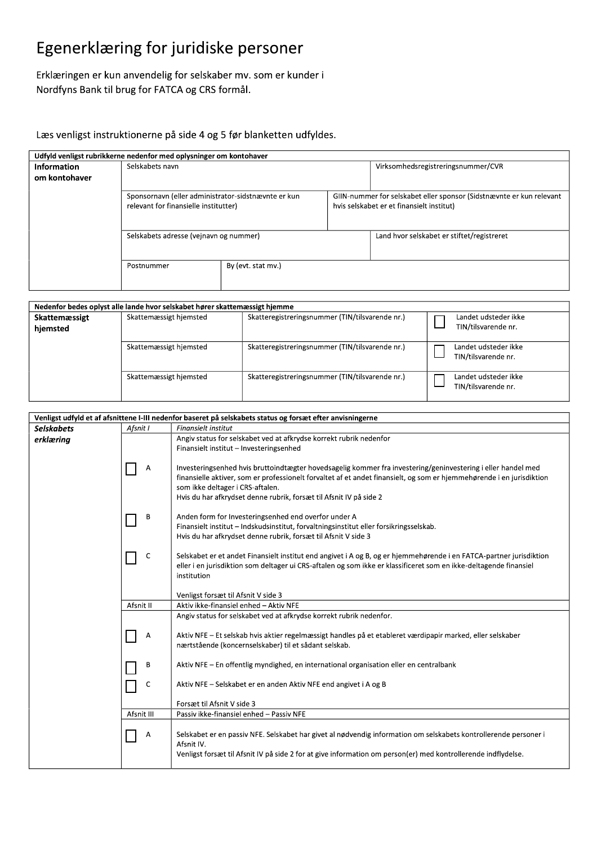# Egenerklæring for juridiske personer

Erklæringen er kun anvendelig for selskaber mv. som er kunder i Nordfyns Bank til brug for FATCA og CRS formål.

### Læs venligst instruktionerne på side 4 og 5 før blanketten udfyldes.

|                    | Udfyld venligst rubrikkerne nedenfor med oplysninger om kontohaver                           |                    |                                                                                                                   |                                            |
|--------------------|----------------------------------------------------------------------------------------------|--------------------|-------------------------------------------------------------------------------------------------------------------|--------------------------------------------|
| <b>Information</b> | Selskabets navn                                                                              |                    | Virksomhedsregistreringsnummer/CVR                                                                                |                                            |
| om kontohaver      |                                                                                              |                    |                                                                                                                   |                                            |
|                    | Sponsornavn (eller administrator-sidstnævnte er kun<br>relevant for finansielle institutter) |                    | GIIN-nummer for selskabet eller sponsor (Sidstnævnte er kun relevant<br>hvis selskabet er et finansielt institut) |                                            |
|                    | Selskabets adresse (veinavn og nummer)                                                       |                    |                                                                                                                   | Land hvor selskabet er stiftet/registreret |
|                    | Postnummer                                                                                   | By (evt. stat mv.) |                                                                                                                   |                                            |

| Nedenfor bedes oplyst alle lande hvor selskabet hører skattemæssigt hjemme |                        |                                                 |                                             |  |
|----------------------------------------------------------------------------|------------------------|-------------------------------------------------|---------------------------------------------|--|
| Skattemæssigt                                                              | Skattemæssigt hjemsted | Skatteregistreringsnummer (TIN/tilsvarende nr.) | Landet udsteder ikke                        |  |
| hjemsted                                                                   |                        |                                                 | TIN/tilsvarende nr.                         |  |
|                                                                            |                        |                                                 |                                             |  |
|                                                                            | Skattemæssigt hjemsted | Skatteregistreringsnummer (TIN/tilsvarende nr.) | Landet udsteder ikke<br>TIN/tilsvarende nr. |  |
|                                                                            | Skattemæssigt hjemsted | Skatteregistreringsnummer (TIN/tilsvarende nr.) | Landet udsteder ikke<br>TIN/tilsvarende nr. |  |

| Venligst udfyld et af afsnittene I-III nedenfor baseret på selskabets status og forsæt efter anvisningerne |            |                                                                                                                                                                                                                                                                                                                                                 |  |
|------------------------------------------------------------------------------------------------------------|------------|-------------------------------------------------------------------------------------------------------------------------------------------------------------------------------------------------------------------------------------------------------------------------------------------------------------------------------------------------|--|
| <b>Selskabets</b>                                                                                          | Afsnit I   | Finansielt institut                                                                                                                                                                                                                                                                                                                             |  |
| erklæring                                                                                                  |            | Angiv status for selskabet ved at afkrydse korrekt rubrik nedenfor<br>Finansielt institut - Investeringsenhed                                                                                                                                                                                                                                   |  |
|                                                                                                            | Α          | Investeringsenhed hvis bruttoindtægter hovedsagelig kommer fra investering/geninvestering i eller handel med<br>finansielle aktiver, som er professionelt forvaltet af et andet finansielt, og som er hjemmehørende i en jurisdiktion<br>som ikke deltager i CRS-aftalen.<br>Hvis du har afkrydset denne rubrik, forsæt til Afsnit IV på side 2 |  |
|                                                                                                            | В          | Anden form for Investeringsenhed end overfor under A<br>Finansielt institut - Indskudsinstitut, forvaltningsinstitut eller forsikringsselskab.<br>Hvis du har afkrydset denne rubrik, forsæt til Afsnit V side 3                                                                                                                                |  |
|                                                                                                            | C          | Selskabet er et andet Finansielt institut end angivet i A og B, og er hjemmehørende i en FATCA-partner jurisdiktion<br>eller i en jurisdiktion som deltager ui CRS-aftalen og som ikke er klassificeret som en ikke-deltagende finansiel<br>institution                                                                                         |  |
|                                                                                                            |            | Venligst forsæt til Afsnit V side 3                                                                                                                                                                                                                                                                                                             |  |
|                                                                                                            | Afsnit II  | Aktiv ikke-finansiel enhed - Aktiv NFE                                                                                                                                                                                                                                                                                                          |  |
|                                                                                                            |            | Angiv status for selskabet ved at afkrydse korrekt rubrik nedenfor.<br>Aktiv NFE - Et selskab hvis aktier regelmæssigt handles på et etableret værdipapir marked, eller selskaber                                                                                                                                                               |  |
|                                                                                                            | А          | nærtstående (koncernselskaber) til et sådant selskab.                                                                                                                                                                                                                                                                                           |  |
|                                                                                                            | В          | Aktiv NFE – En offentlig myndighed, en international organisation eller en centralbank                                                                                                                                                                                                                                                          |  |
|                                                                                                            | c          | Aktiv NFE - Selskabet er en anden Aktiv NFE end angivet i A og B                                                                                                                                                                                                                                                                                |  |
|                                                                                                            | Afsnit III | Forsæt til Afsnit V side 3<br>Passiv ikke-finansiel enhed - Passiv NFE                                                                                                                                                                                                                                                                          |  |
|                                                                                                            |            |                                                                                                                                                                                                                                                                                                                                                 |  |
|                                                                                                            | Α          | Selskabet er en passiv NFE. Selskabet har givet al nødvendig information om selskabets kontrollerende personer i<br>Afsnit IV.<br>Venligst forsæt til Afsnit IV på side 2 for at give information om person(er) med kontrollerende indflydelse.                                                                                                 |  |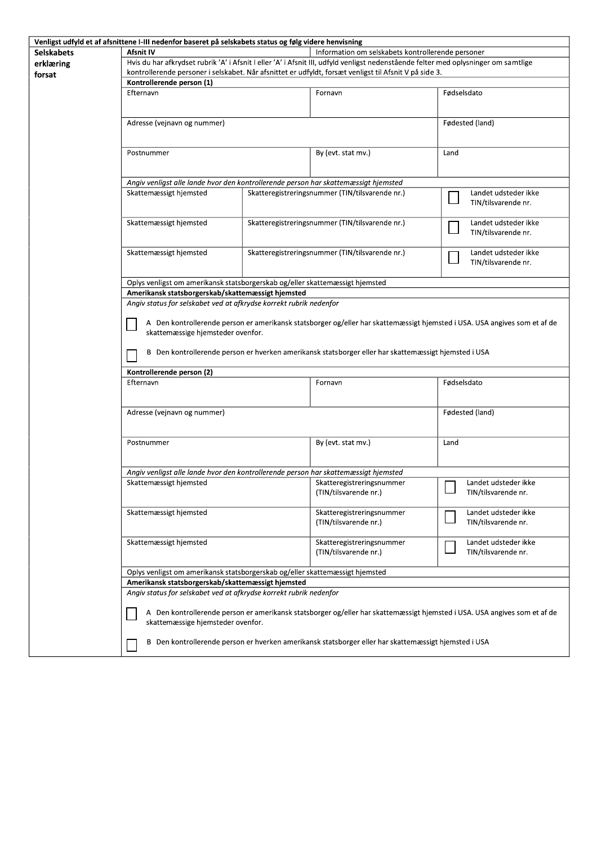|                   | Venligst udfyld et af afsnittene I-III nedenfor baseret på selskabets status og følg videre henvisning                              |  |                                                                                                      |                                                                                                                           |  |
|-------------------|-------------------------------------------------------------------------------------------------------------------------------------|--|------------------------------------------------------------------------------------------------------|---------------------------------------------------------------------------------------------------------------------------|--|
| <b>Selskabets</b> | Afsnit IV<br>Information om selskabets kontrollerende personer                                                                      |  |                                                                                                      |                                                                                                                           |  |
| erklæring         | Hvis du har afkrydset rubrik 'A' i Afsnit I eller 'A' i Afsnit III, udfyld venligst nedenstående felter med oplysninger om samtlige |  |                                                                                                      |                                                                                                                           |  |
| forsat            | kontrollerende personer i selskabet. Når afsnittet er udfyldt, forsæt venligst til Afsnit V på side 3.                              |  |                                                                                                      |                                                                                                                           |  |
|                   | Kontrollerende person (1)                                                                                                           |  |                                                                                                      |                                                                                                                           |  |
|                   | Efternavn                                                                                                                           |  | Fornavn                                                                                              | Fødselsdato                                                                                                               |  |
|                   |                                                                                                                                     |  |                                                                                                      |                                                                                                                           |  |
|                   |                                                                                                                                     |  |                                                                                                      |                                                                                                                           |  |
|                   | Adresse (vejnavn og nummer)                                                                                                         |  |                                                                                                      | Fødested (land)                                                                                                           |  |
|                   |                                                                                                                                     |  |                                                                                                      |                                                                                                                           |  |
|                   |                                                                                                                                     |  |                                                                                                      |                                                                                                                           |  |
|                   | Postnummer                                                                                                                          |  | By (evt. stat mv.)                                                                                   | Land                                                                                                                      |  |
|                   |                                                                                                                                     |  |                                                                                                      |                                                                                                                           |  |
|                   |                                                                                                                                     |  |                                                                                                      |                                                                                                                           |  |
|                   | Angiv venligst alle lande hvor den kontrollerende person har skattemæssigt hjemsted                                                 |  |                                                                                                      |                                                                                                                           |  |
|                   | Skattemæssigt hjemsted                                                                                                              |  | Skatteregistreringsnummer (TIN/tilsvarende nr.)                                                      | Landet udsteder ikke                                                                                                      |  |
|                   |                                                                                                                                     |  |                                                                                                      | TIN/tilsvarende nr.                                                                                                       |  |
|                   |                                                                                                                                     |  |                                                                                                      |                                                                                                                           |  |
|                   | Skattemæssigt hjemsted                                                                                                              |  | Skatteregistreringsnummer (TIN/tilsvarende nr.)                                                      | Landet udsteder ikke                                                                                                      |  |
|                   |                                                                                                                                     |  |                                                                                                      | TIN/tilsvarende nr.                                                                                                       |  |
|                   |                                                                                                                                     |  |                                                                                                      |                                                                                                                           |  |
|                   | Skattemæssigt hjemsted                                                                                                              |  | Skatteregistreringsnummer (TIN/tilsvarende nr.)                                                      | Landet udsteder ikke                                                                                                      |  |
|                   |                                                                                                                                     |  |                                                                                                      | TIN/tilsvarende nr.                                                                                                       |  |
|                   |                                                                                                                                     |  |                                                                                                      |                                                                                                                           |  |
|                   | Oplys venligst om amerikansk statsborgerskab og/eller skattemæssigt hjemsted                                                        |  |                                                                                                      |                                                                                                                           |  |
|                   | Amerikansk statsborgerskab/skattemæssigt hjemsted                                                                                   |  |                                                                                                      |                                                                                                                           |  |
|                   | Angiv status for selskabet ved at afkrydse korrekt rubrik nedenfor                                                                  |  |                                                                                                      |                                                                                                                           |  |
|                   |                                                                                                                                     |  |                                                                                                      |                                                                                                                           |  |
|                   |                                                                                                                                     |  |                                                                                                      |                                                                                                                           |  |
|                   |                                                                                                                                     |  |                                                                                                      | A Den kontrollerende person er amerikansk statsborger og/eller har skattemæssigt hjemsted i USA. USA angives som et af de |  |
|                   | skattemæssige hjemsteder ovenfor.                                                                                                   |  |                                                                                                      |                                                                                                                           |  |
|                   |                                                                                                                                     |  |                                                                                                      |                                                                                                                           |  |
|                   |                                                                                                                                     |  | B Den kontrollerende person er hverken amerikansk statsborger eller har skattemæssigt hjemsted i USA |                                                                                                                           |  |
|                   |                                                                                                                                     |  |                                                                                                      |                                                                                                                           |  |
|                   | Kontrollerende person (2)                                                                                                           |  |                                                                                                      |                                                                                                                           |  |
|                   | Efternavn                                                                                                                           |  | Fornavn                                                                                              | Fødselsdato                                                                                                               |  |
|                   |                                                                                                                                     |  |                                                                                                      |                                                                                                                           |  |
|                   |                                                                                                                                     |  |                                                                                                      |                                                                                                                           |  |
|                   | Adresse (vejnavn og nummer)                                                                                                         |  |                                                                                                      | Fødested (land)                                                                                                           |  |
|                   |                                                                                                                                     |  |                                                                                                      |                                                                                                                           |  |
|                   |                                                                                                                                     |  |                                                                                                      |                                                                                                                           |  |
|                   | Postnummer                                                                                                                          |  | By (evt. stat mv.)                                                                                   | Land                                                                                                                      |  |
|                   |                                                                                                                                     |  |                                                                                                      |                                                                                                                           |  |
|                   | Angiv venligst alle lande hvor den kontrollerende person har skattemæssigt hjemsted                                                 |  |                                                                                                      |                                                                                                                           |  |
|                   |                                                                                                                                     |  |                                                                                                      |                                                                                                                           |  |
|                   | Skattemæssigt hjemsted                                                                                                              |  | Skatteregistreringsnummer                                                                            | Landet udsteder ikke<br>ப                                                                                                 |  |
|                   |                                                                                                                                     |  | (TIN/tilsvarende nr.)                                                                                | TIN/tilsvarende nr.                                                                                                       |  |
|                   |                                                                                                                                     |  |                                                                                                      |                                                                                                                           |  |
|                   | Skattemæssigt hjemsted                                                                                                              |  | Skatteregistreringsnummer                                                                            | Landet udsteder ikke                                                                                                      |  |
|                   |                                                                                                                                     |  | (TIN/tilsvarende nr.)                                                                                | TIN/tilsvarende nr.                                                                                                       |  |
|                   |                                                                                                                                     |  |                                                                                                      |                                                                                                                           |  |
|                   | Skattemæssigt hjemsted                                                                                                              |  | Skatteregistreringsnummer                                                                            | Landet udsteder ikke                                                                                                      |  |
|                   |                                                                                                                                     |  | (TIN/tilsvarende nr.)                                                                                | TIN/tilsvarende nr.                                                                                                       |  |
|                   |                                                                                                                                     |  |                                                                                                      |                                                                                                                           |  |
|                   | Oplys venligst om amerikansk statsborgerskab og/eller skattemæssigt hjemsted                                                        |  |                                                                                                      |                                                                                                                           |  |
|                   | Amerikansk statsborgerskab/skattemæssigt hjemsted                                                                                   |  |                                                                                                      |                                                                                                                           |  |
|                   | Angiv status for selskabet ved at afkrydse korrekt rubrik nedenfor                                                                  |  |                                                                                                      |                                                                                                                           |  |
|                   |                                                                                                                                     |  |                                                                                                      |                                                                                                                           |  |
|                   |                                                                                                                                     |  |                                                                                                      | A Den kontrollerende person er amerikansk statsborger og/eller har skattemæssigt hjemsted i USA. USA angives som et af de |  |
|                   | skattemæssige hjemsteder ovenfor.                                                                                                   |  |                                                                                                      |                                                                                                                           |  |
|                   |                                                                                                                                     |  |                                                                                                      |                                                                                                                           |  |
|                   |                                                                                                                                     |  | B Den kontrollerende person er hverken amerikansk statsborger eller har skattemæssigt hjemsted i USA |                                                                                                                           |  |
|                   |                                                                                                                                     |  |                                                                                                      |                                                                                                                           |  |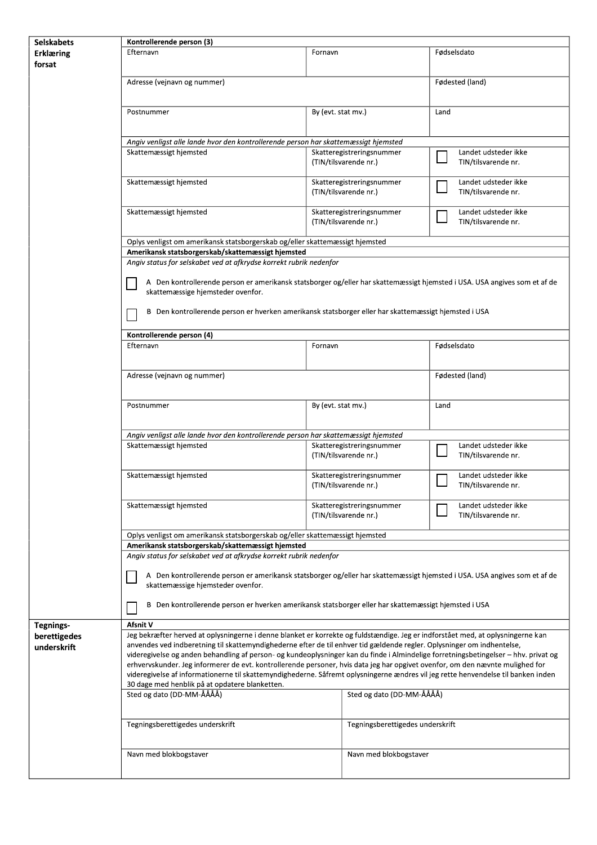| <b>Selskabets</b> | Kontrollerende person (3)                                                                                                                                      |                                                    |                                                    |                                             |  |  |
|-------------------|----------------------------------------------------------------------------------------------------------------------------------------------------------------|----------------------------------------------------|----------------------------------------------------|---------------------------------------------|--|--|
| <b>Erklæring</b>  | Efternavn                                                                                                                                                      | Fornavn                                            |                                                    | Fødselsdato                                 |  |  |
| forsat            |                                                                                                                                                                |                                                    |                                                    |                                             |  |  |
|                   | Adresse (vejnavn og nummer)                                                                                                                                    |                                                    |                                                    | Fødested (land)                             |  |  |
|                   |                                                                                                                                                                |                                                    |                                                    |                                             |  |  |
|                   | Postnummer                                                                                                                                                     | By (evt. stat mv.)                                 |                                                    | Land                                        |  |  |
|                   | Angiv venligst alle lande hvor den kontrollerende person har skattemæssigt hjemsted                                                                            |                                                    |                                                    |                                             |  |  |
|                   |                                                                                                                                                                |                                                    |                                                    | Landet udsteder ikke                        |  |  |
|                   | Skattemæssigt hjemsted                                                                                                                                         | Skatteregistreringsnummer<br>(TIN/tilsvarende nr.) |                                                    | TIN/tilsvarende nr.                         |  |  |
|                   | Skattemæssigt hjemsted                                                                                                                                         |                                                    | Skatteregistreringsnummer<br>(TIN/tilsvarende nr.) | Landet udsteder ikke<br>TIN/tilsvarende nr. |  |  |
|                   | Skattemæssigt hjemsted                                                                                                                                         |                                                    | Skatteregistreringsnummer<br>(TIN/tilsvarende nr.) | Landet udsteder ikke<br>TIN/tilsvarende nr. |  |  |
|                   | Oplys venligst om amerikansk statsborgerskab og/eller skattemæssigt hjemsted                                                                                   |                                                    |                                                    |                                             |  |  |
|                   | Amerikansk statsborgerskab/skattemæssigt hjemsted<br>Angiv status for selskabet ved at afkrydse korrekt rubrik nedenfor                                        |                                                    |                                                    |                                             |  |  |
|                   |                                                                                                                                                                |                                                    |                                                    |                                             |  |  |
|                   | A Den kontrollerende person er amerikansk statsborger og/eller har skattemæssigt hjemsted i USA. USA angives som et af de<br>skattemæssige hjemsteder ovenfor. |                                                    |                                                    |                                             |  |  |
|                   | B Den kontrollerende person er hverken amerikansk statsborger eller har skattemæssigt hjemsted i USA                                                           |                                                    |                                                    |                                             |  |  |
|                   | Kontrollerende person (4)                                                                                                                                      |                                                    |                                                    |                                             |  |  |
|                   | Efternavn                                                                                                                                                      | Fornavn                                            |                                                    | Fødselsdato                                 |  |  |
|                   |                                                                                                                                                                |                                                    |                                                    |                                             |  |  |
|                   | Adresse (vejnavn og nummer)                                                                                                                                    |                                                    |                                                    | Fødested (land)                             |  |  |
|                   | Postnummer                                                                                                                                                     | By (evt. stat mv.)                                 |                                                    | Land                                        |  |  |
|                   | Angiv venligst alle lande hvor den kontrollerende person har skattemæssigt hjemsted                                                                            |                                                    |                                                    |                                             |  |  |
|                   | Skattemæssigt hjemsted                                                                                                                                         | Skatteregistreringsnummer<br>(TIN/tilsvarende nr.) |                                                    | Landet udsteder ikke<br>TIN/tilsvarende nr. |  |  |
|                   | Skattemæssigt hjemsted                                                                                                                                         |                                                    | Skatteregistreringsnummer<br>(TIN/tilsvarende nr.) | Landet udsteder ikke<br>TIN/tilsvarende nr. |  |  |
|                   | Skattemæssigt hjemsted                                                                                                                                         |                                                    | Skatteregistreringsnummer<br>(TIN/tilsvarende nr.) | Landet udsteder ikke<br>TIN/tilsvarende nr. |  |  |
|                   | Oplys venligst om amerikansk statsborgerskab og/eller skattemæssigt hjemsted                                                                                   |                                                    |                                                    |                                             |  |  |
|                   | Amerikansk statsborgerskab/skattemæssigt hjemsted                                                                                                              |                                                    |                                                    |                                             |  |  |
|                   | Angiv status for selskabet ved at afkrydse korrekt rubrik nedenfor                                                                                             |                                                    |                                                    |                                             |  |  |
|                   | A Den kontrollerende person er amerikansk statsborger og/eller har skattemæssigt hjemsted i USA. USA angives som et af de<br>skattemæssige hjemsteder ovenfor. |                                                    |                                                    |                                             |  |  |
|                   | B Den kontrollerende person er hverken amerikansk statsborger eller har skattemæssigt hjemsted i USA                                                           |                                                    |                                                    |                                             |  |  |
| Tegnings-         | Afsnit V                                                                                                                                                       |                                                    |                                                    |                                             |  |  |
| berettigedes      | Jeg bekræfter herved at oplysningerne i denne blanket er korrekte og fuldstændige. Jeg er indforstået med, at oplysningerne kan                                |                                                    |                                                    |                                             |  |  |
| underskrift       | anvendes ved indberetning til skattemyndighederne efter de til enhver tid gældende regler. Oplysninger om indhentelse,                                         |                                                    |                                                    |                                             |  |  |
|                   | videregivelse og anden behandling af person- og kundeoplysninger kan du finde i Almindelige forretningsbetingelser - hhv. privat og                            |                                                    |                                                    |                                             |  |  |
|                   | erhvervskunder. Jeg informerer de evt. kontrollerende personer, hvis data jeg har opgivet ovenfor, om den nævnte mulighed for                                  |                                                    |                                                    |                                             |  |  |
|                   | videregivelse af informationerne til skattemyndighederne. Såfremt oplysningerne ændres vil jeg rette henvendelse til banken inden                              |                                                    |                                                    |                                             |  |  |
|                   | 30 dage med henblik på at opdatere blanketten.                                                                                                                 |                                                    |                                                    |                                             |  |  |
|                   | Sted og dato (DD-MM-ÅÅÅÅ)<br>Sted og dato (DD-MM-ÅÅÅÅ)                                                                                                         |                                                    |                                                    |                                             |  |  |
|                   | Tegningsberettigedes underskrift<br>Tegningsberettigedes underskrift                                                                                           |                                                    |                                                    |                                             |  |  |
|                   |                                                                                                                                                                |                                                    |                                                    |                                             |  |  |
|                   | Navn med blokbogstaver                                                                                                                                         |                                                    | Navn med blokbogstaver                             |                                             |  |  |
|                   |                                                                                                                                                                |                                                    |                                                    |                                             |  |  |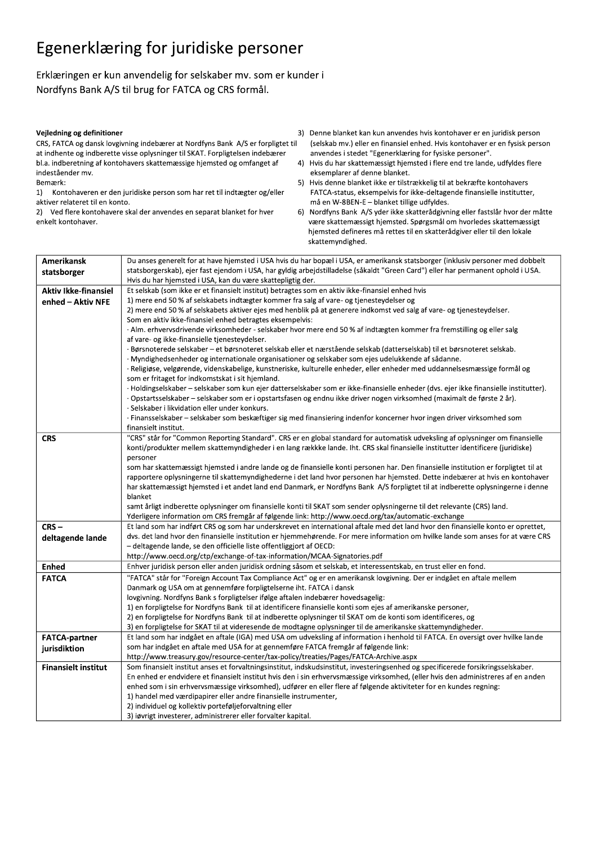## Egenerklæring for juridiske personer

Erklæringen er kun anvendelig for selskaber mv. som er kunder i Nordfyns Bank A/S til brug for FATCA og CRS formål.

#### Vejledning og definitioner

CRS, FATCA og dansk lovgivning indebærer at Nordfyns Bank A/S er forpligtet til at indhente og indberette visse oplysninger til SKAT. Forpligtelsen indebærer bl.a. indberetning af kontohavers skattemæssige hjemsted og omfanget af indeståender mv. Bemærk:

1) Kontohaveren er den juridiske person som har ret til indtægter og/eller aktiver relateret til en konto.

2) Ved flere kontohavere skal der anvendes en separat blanket for hver enkelt kontohaver.

3) Denne blanket kan kun anvendes hvis kontohaver er en juridisk person (selskab mv.) eller en finansiel enhed. Hvis kontohaver er en fysisk person anvendes i stedet "Egenerklæring for fysiske personer".

 $4)$ Hvis du har skattemæssigt hjemsted i flere end tre lande, udfyldes flere eksemplarer af denne blanket.

5) Hvis denne blanket ikke er tilstrækkelig til at bekræfte kontohavers FATCA-status, eksempelvis for ikke-deltagende finansielle institutter, må en W-8BEN-E - blanket tillige udfyldes.

6) Nordfyns Bank A/S yder ikke skatterådgivning eller fastslår hvor der måtte være skattemæssigt hjemsted. Spørgsmål om hvorledes skattemæssigt hjemsted defineres må rettes til en skatterådgiver eller til den lokale skattemyndighed.

| Amerikansk                  | Du anses generelt for at have hjemsted i USA hvis du har bopæl i USA, er amerikansk statsborger (inklusiv personer med dobbelt        |  |  |
|-----------------------------|---------------------------------------------------------------------------------------------------------------------------------------|--|--|
| statsborger                 | statsborgerskab), ejer fast ejendom i USA, har gyldig arbejdstilladelse (såkaldt "Green Card") eller har permanent ophold i USA.      |  |  |
|                             | Hvis du har hjemsted i USA, kan du være skattepligtig der.                                                                            |  |  |
| <b>Aktiv Ikke-finansiel</b> | Et selskab (som ikke er et finansielt institut) betragtes som en aktiv ikke-finansiel enhed hvis                                      |  |  |
| enhed - Aktiv NFE           | 1) mere end 50 % af selskabets indtægter kommer fra salg af vare- og tjenesteydelser og                                               |  |  |
|                             | 2) mere end 50 % af selskabets aktiver ejes med henblik på at generere indkomst ved salg af vare- og tjenesteydelser.                 |  |  |
|                             | Som en aktiv ikke-finansiel enhed betragtes eksempelvis:                                                                              |  |  |
|                             | ∙Alm. erhvervsdrivende virksomheder - selskaber hvor mere end 50 % af indtægten kommer fra fremstilling og eller salg                 |  |  |
|                             | af vare- og ikke-finansielle tjenesteydelser.                                                                                         |  |  |
|                             | · Børsnoterede selskaber – et børsnoteret selskab eller et nærstående selskab (datterselskab) til et børsnoteret selskab.             |  |  |
|                             | · Myndighedsenheder og internationale organisationer og selskaber som ejes udelukkende af sådanne.                                    |  |  |
|                             | · Religiøse, velgørende, videnskabelige, kunstneriske, kulturelle enheder, eller enheder med uddannelsesmæssige formål og             |  |  |
|                             | som er fritaget for indkomstskat i sit hjemland.                                                                                      |  |  |
|                             | · Holdingselskaber – selskaber som kun ejer datterselskaber som er ikke-finansielle enheder (dvs. ejer ikke finansielle institutter). |  |  |
|                             | ·Opstartsselskaber – selskaber som er i opstartsfasen og endnu ikke driver nogen virksomhed (maximalt de første 2 år).                |  |  |
|                             | Selskaber i likvidation eller under konkurs.                                                                                          |  |  |
|                             | · Finansselskaber – selskaber som beskæftiger sig med finansiering indenfor koncerner hvor ingen driver virksomhed som                |  |  |
|                             | finansielt institut.                                                                                                                  |  |  |
| <b>CRS</b>                  | "CRS" står for "Common Reporting Standard". CRS er en global standard for automatisk udveksling af oplysninger om finansielle         |  |  |
|                             | konti/produkter mellem skattemyndigheder i en lang rækkke lande. Iht. CRS skal finansielle institutter identificere (juridiske)       |  |  |
|                             | personer                                                                                                                              |  |  |
|                             | som har skattemæssigt hjemsted i andre lande og de finansielle konti personen har. Den finansielle institution er forpligtet til at   |  |  |
|                             | rapportere oplysningerne til skattemyndighederne i det land hvor personen har hjemsted. Dette indebærer at hvis en kontohaver         |  |  |
|                             | har skattemæssigt hjemsted i et andet land end Danmark, er Nordfyns Bank A/S forpligtet til at indberette oplysningerne i denne       |  |  |
|                             | blanket                                                                                                                               |  |  |
|                             | samt årligt indberette oplysninger om finansielle konti til SKAT som sender oplysningerne til det relevante (CRS) land.               |  |  |
|                             | Yderligere information om CRS fremgår af følgende link: http://www.oecd.org/tax/automatic-exchange                                    |  |  |
| $CRS -$                     | Et land som har indført CRS og som har underskrevet en international aftale med det land hvor den finansielle konto er oprettet,      |  |  |
| deltagende lande            | dys. det land hyor den finansielle institution er hjemmehørende. For mere information om hvilke lande som anses for at være CRS       |  |  |
|                             | - deltagende lande, se den officielle liste offentliggjort af OECD:                                                                   |  |  |
|                             | http://www.oecd.org/ctp/exchange-of-tax-information/MCAA-Signatories.pdf                                                              |  |  |
| <b>Enhed</b>                | Enhver juridisk person eller anden juridisk ordning såsom et selskab, et interessentskab, en trust eller en fond.                     |  |  |
| <b>FATCA</b>                | "FATCA" står for "Foreign Account Tax Compliance Act" og er en amerikansk lovgivning. Der er indgået en aftale mellem                 |  |  |
|                             | Danmark og USA om at gennemføre forpligtelserne iht. FATCA i dansk                                                                    |  |  |
|                             | lovgivning. Nordfyns Bank s forpligtelser ifølge aftalen indebærer hovedsagelig:                                                      |  |  |
|                             | 1) en forpligtelse for Nordfyns Bank til at identificere finansielle konti som ejes af amerikanske personer,                          |  |  |
|                             | 2) en forpligtelse for Nordfyns Bank til at indberette oplysninger til SKAT om de konti som identificeres, og                         |  |  |
|                             | 3) en forpligtelse for SKAT til at videresende de modtagne oplysninger til de amerikanske skattemyndigheder.                          |  |  |
| <b>FATCA-partner</b>        | Et land som har indgået en aftale (IGA) med USA om udveksling af information i henhold til FATCA. En oversigt over hvilke lande       |  |  |
| jurisdiktion                | som har indgået en aftale med USA for at gennemføre FATCA fremgår af følgende link:                                                   |  |  |
|                             | http://www.treasury.gov/resource-center/tax-policy/treaties/Pages/FATCA-Archive.aspx                                                  |  |  |
| <b>Finansielt institut</b>  | Som finansielt institut anses et forvaltningsinstitut, indskudsinstitut, investeringsenhed og specificerede forsikringsselskaber.     |  |  |
|                             | En enhed er endvidere et finansielt institut hvis den i sin erhvervsmæssige virksomhed, (eller hvis den administreres af en anden     |  |  |
|                             | enhed som i sin erhvervsmæssige virksomhed), udfører en eller flere af følgende aktiviteter for en kundes regning:                    |  |  |
|                             | 1) handel med værdipapirer eller andre finansielle instrumenter,                                                                      |  |  |
|                             | 2) individuel og kollektiv porteføljeforvaltning eller                                                                                |  |  |
|                             | 3) jøvrigt investerer, administrerer eller forvalter kanital                                                                          |  |  |